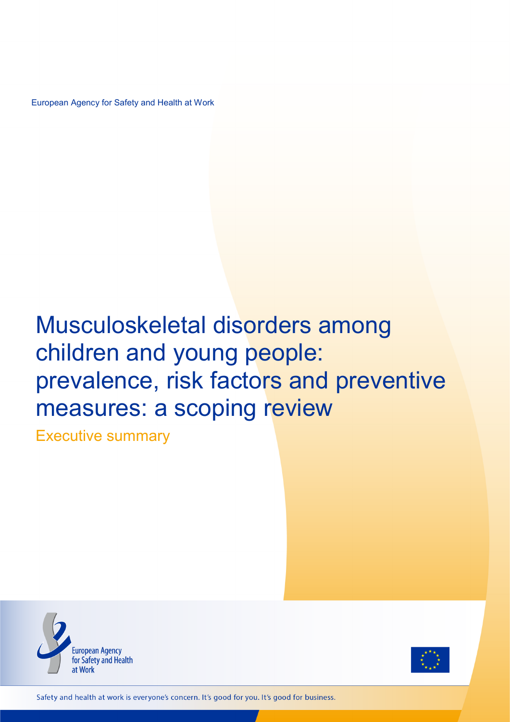European Agency for Safety and Health at Work

# Musculoskeletal disorders among children and young people: prevalence, risk factors and preventive measures: a scoping review

Executive summary





Safety and health at work is everyone's concern. It's good for you. It's good for business.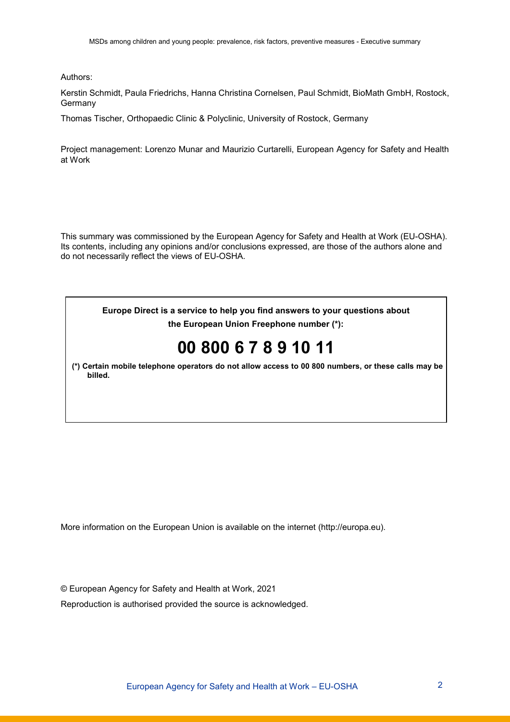Authors:

Kerstin Schmidt, Paula Friedrichs, Hanna Christina Cornelsen, Paul Schmidt, BioMath GmbH, Rostock, Germany

Thomas Tischer, Orthopaedic Clinic & Polyclinic, University of Rostock, Germany

Project management: Lorenzo Munar and Maurizio Curtarelli, European Agency for Safety and Health at Work

This summary was commissioned by the European Agency for Safety and Health at Work (EU-OSHA). Its contents, including any opinions and/or conclusions expressed, are those of the authors alone and do not necessarily reflect the views of EU-OSHA.

> **Europe Direct is a service to help you find answers to your questions about the European Union Freephone number (\*):**

## **00 800 6 7 8 9 10 11**

**(\*) Certain mobile telephone operators do not allow access to 00 800 numbers, or these calls may be billed.**

More information on the European Union is available on the internet (http://europa.eu).

© European Agency for Safety and Health at Work, 2021

Reproduction is authorised provided the source is acknowledged.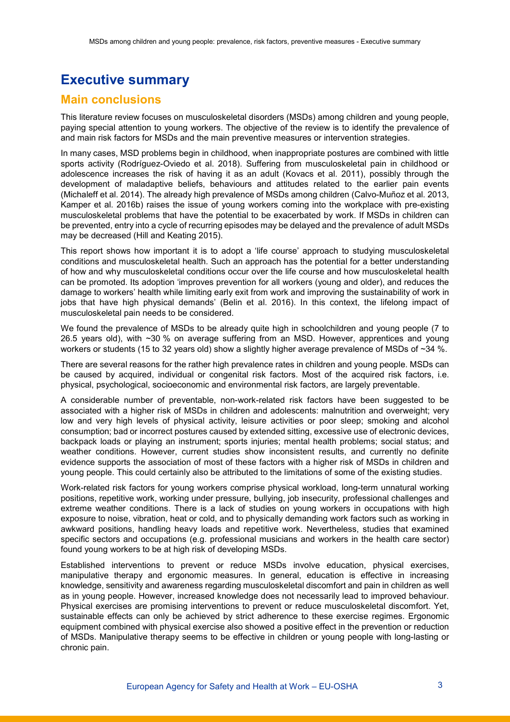## **Executive summary**

## **Main conclusions**

This literature review focuses on musculoskeletal disorders (MSDs) among children and young people, paying special attention to young workers. The objective of the review is to identify the prevalence of and main risk factors for MSDs and the main preventive measures or intervention strategies.

In many cases, MSD problems begin in childhood, when inappropriate postures are combined with little sports activity (Rodríguez-Oviedo et al. 2018). Suffering from musculoskeletal pain in childhood or adolescence increases the risk of having it as an adult (Kovacs et al. 2011), possibly through the development of maladaptive beliefs, behaviours and attitudes related to the earlier pain events (Michaleff et al. 2014). The already high prevalence of MSDs among children (Calvo-Muñoz et al. 2013, Kamper et al. 2016b) raises the issue of young workers coming into the workplace with pre-existing musculoskeletal problems that have the potential to be exacerbated by work. If MSDs in children can be prevented, entry into a cycle of recurring episodes may be delayed and the prevalence of adult MSDs may be decreased (Hill and Keating 2015).

This report shows how important it is to adopt a 'life course' approach to studying musculoskeletal conditions and musculoskeletal health. Such an approach has the potential for a better understanding of how and why musculoskeletal conditions occur over the life course and how musculoskeletal health can be promoted. Its adoption 'improves prevention for all workers (young and older), and reduces the damage to workers' health while limiting early exit from work and improving the sustainability of work in jobs that have high physical demands' (Belin et al. 2016). In this context, the lifelong impact of musculoskeletal pain needs to be considered.

We found the prevalence of MSDs to be already quite high in schoolchildren and young people (7 to 26.5 years old), with ~30 % on average suffering from an MSD. However, apprentices and young workers or students (15 to 32 years old) show a slightly higher average prevalence of MSDs of ~34 %.

There are several reasons for the rather high prevalence rates in children and young people. MSDs can be caused by acquired, individual or congenital risk factors. Most of the acquired risk factors, i.e. physical, psychological, socioeconomic and environmental risk factors, are largely preventable.

A considerable number of preventable, non-work-related risk factors have been suggested to be associated with a higher risk of MSDs in children and adolescents: malnutrition and overweight; very low and very high levels of physical activity, leisure activities or poor sleep; smoking and alcohol consumption; bad or incorrect postures caused by extended sitting, excessive use of electronic devices, backpack loads or playing an instrument; sports injuries; mental health problems; social status; and weather conditions. However, current studies show inconsistent results, and currently no definite evidence supports the association of most of these factors with a higher risk of MSDs in children and young people. This could certainly also be attributed to the limitations of some of the existing studies.

Work-related risk factors for young workers comprise physical workload, long-term unnatural working positions, repetitive work, working under pressure, bullying, job insecurity, professional challenges and extreme weather conditions. There is a lack of studies on young workers in occupations with high exposure to noise, vibration, heat or cold, and to physically demanding work factors such as working in awkward positions, handling heavy loads and repetitive work. Nevertheless, studies that examined specific sectors and occupations (e.g. professional musicians and workers in the health care sector) found young workers to be at high risk of developing MSDs.

Established interventions to prevent or reduce MSDs involve education, physical exercises, manipulative therapy and ergonomic measures. In general, education is effective in increasing knowledge, sensitivity and awareness regarding musculoskeletal discomfort and pain in children as well as in young people. However, increased knowledge does not necessarily lead to improved behaviour. Physical exercises are promising interventions to prevent or reduce musculoskeletal discomfort. Yet, sustainable effects can only be achieved by strict adherence to these exercise regimes. Ergonomic equipment combined with physical exercise also showed a positive effect in the prevention or reduction of MSDs. Manipulative therapy seems to be effective in children or young people with long-lasting or chronic pain.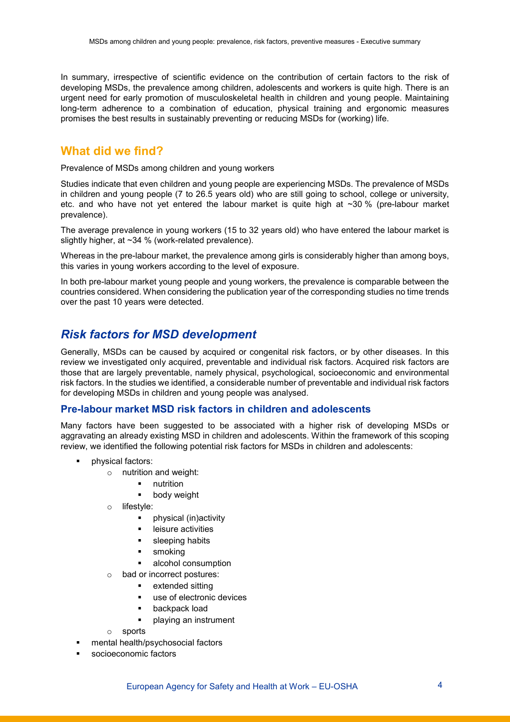In summary, irrespective of scientific evidence on the contribution of certain factors to the risk of developing MSDs, the prevalence among children, adolescents and workers is quite high. There is an urgent need for early promotion of musculoskeletal health in children and young people. Maintaining long-term adherence to a combination of education, physical training and ergonomic measures promises the best results in sustainably preventing or reducing MSDs for (working) life.

## **What did we find?**

Prevalence of MSDs among children and young workers

Studies indicate that even children and young people are experiencing MSDs. The prevalence of MSDs in children and young people (7 to 26.5 years old) who are still going to school, college or university, etc. and who have not yet entered the labour market is quite high at  $\sim$ 30 % (pre-labour market prevalence).

The average prevalence in young workers (15 to 32 years old) who have entered the labour market is slightly higher, at ~34 % (work-related prevalence).

Whereas in the pre-labour market, the prevalence among girls is considerably higher than among boys, this varies in young workers according to the level of exposure.

In both pre-labour market young people and young workers, the prevalence is comparable between the countries considered. When considering the publication year of the corresponding studies no time trends over the past 10 years were detected.

## *Risk factors for MSD development*

Generally, MSDs can be caused by acquired or congenital risk factors, or by other diseases. In this review we investigated only acquired, preventable and individual risk factors. Acquired risk factors are those that are largely preventable, namely physical, psychological, socioeconomic and environmental risk factors. In the studies we identified, a considerable number of preventable and individual risk factors for developing MSDs in children and young people was analysed.

#### **Pre-labour market MSD risk factors in children and adolescents**

Many factors have been suggested to be associated with a higher risk of developing MSDs or aggravating an already existing MSD in children and adolescents. Within the framework of this scoping review, we identified the following potential risk factors for MSDs in children and adolescents:

- physical factors:
	- o nutrition and weight:
		- **nutrition**
		- **body weight**
	- o lifestyle:
		- **•** physical (in)activity
		- leisure activities
		- **sleeping habits**
		- smoking
		- alcohol consumption
	- bad or incorrect postures:
		- **EXTENDED FILTER**
		- use of electronic devices
		- **•** backpack load
		- **•** playing an instrument
	- o sports
- mental health/psychosocial factors
- socioeconomic factors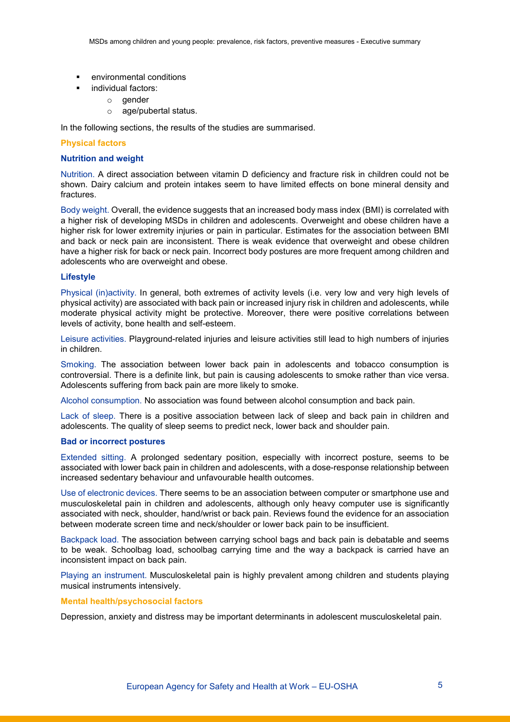- environmental conditions
- **individual factors:** 
	- o gender
	- o age/pubertal status.

In the following sections, the results of the studies are summarised.

#### **Physical factors**

#### **Nutrition and weight**

Nutrition. A direct association between vitamin D deficiency and fracture risk in children could not be shown. Dairy calcium and protein intakes seem to have limited effects on bone mineral density and fractures.

Body weight. Overall, the evidence suggests that an increased body mass index (BMI) is correlated with a higher risk of developing MSDs in children and adolescents. Overweight and obese children have a higher risk for lower extremity injuries or pain in particular. Estimates for the association between BMI and back or neck pain are inconsistent. There is weak evidence that overweight and obese children have a higher risk for back or neck pain. Incorrect body postures are more frequent among children and adolescents who are overweight and obese.

#### **Lifestyle**

Physical (in)activity. In general, both extremes of activity levels (i.e. very low and very high levels of physical activity) are associated with back pain or increased injury risk in children and adolescents, while moderate physical activity might be protective. Moreover, there were positive correlations between levels of activity, bone health and self-esteem.

Leisure activities. Playground-related injuries and leisure activities still lead to high numbers of injuries in children.

Smoking. The association between lower back pain in adolescents and tobacco consumption is controversial. There is a definite link, but pain is causing adolescents to smoke rather than vice versa. Adolescents suffering from back pain are more likely to smoke.

Alcohol consumption. No association was found between alcohol consumption and back pain.

Lack of sleep. There is a positive association between lack of sleep and back pain in children and adolescents. The quality of sleep seems to predict neck, lower back and shoulder pain.

#### **Bad or incorrect postures**

Extended sitting. A prolonged sedentary position, especially with incorrect posture, seems to be associated with lower back pain in children and adolescents, with a dose-response relationship between increased sedentary behaviour and unfavourable health outcomes.

Use of electronic devices. There seems to be an association between computer or smartphone use and musculoskeletal pain in children and adolescents, although only heavy computer use is significantly associated with neck, shoulder, hand/wrist or back pain. Reviews found the evidence for an association between moderate screen time and neck/shoulder or lower back pain to be insufficient.

Backpack load. The association between carrying school bags and back pain is debatable and seems to be weak. Schoolbag load, schoolbag carrying time and the way a backpack is carried have an inconsistent impact on back pain.

Playing an instrument. Musculoskeletal pain is highly prevalent among children and students playing musical instruments intensively.

#### **Mental health/psychosocial factors**

Depression, anxiety and distress may be important determinants in adolescent musculoskeletal pain.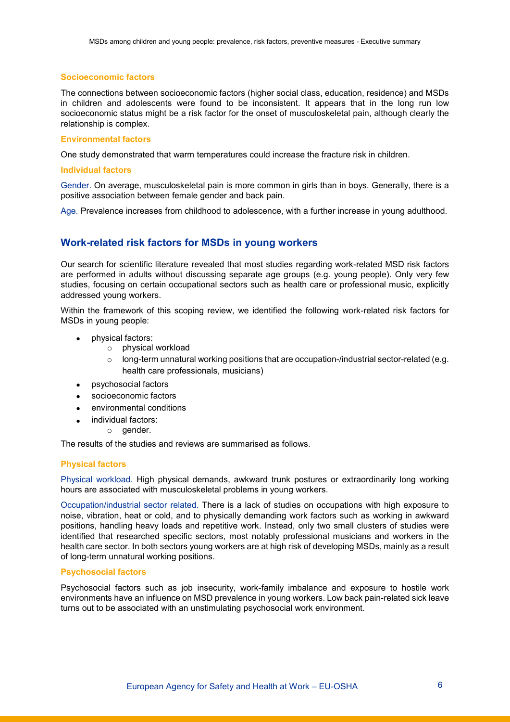#### **Socioeconomic factors**

The connections between socioeconomic factors (higher social class, education, residence) and MSDs in children and adolescents were found to be inconsistent. It appears that in the long run low socioeconomic status might be a risk factor for the onset of musculoskeletal pain, although clearly the relationship is complex.

#### **Environmental factors**

One study demonstrated that warm temperatures could increase the fracture risk in children.

#### **Individual factors**

Gender. On average, musculoskeletal pain is more common in girls than in boys. Generally, there is a positive association between female gender and back pain.

Age. Prevalence increases from childhood to adolescence, with a further increase in young adulthood.

#### **Work-related risk factors for MSDs in young workers**

Our search for scientific literature revealed that most studies regarding work-related MSD risk factors are performed in adults without discussing separate age groups (e.g. young people). Only very few studies, focusing on certain occupational sectors such as health care or professional music, explicitly addressed young workers.

Within the framework of this scoping review, we identified the following work-related risk factors for MSDs in young people:

- physical factors:
	- o physical workload
	- $\circ$  long-term unnatural working positions that are occupation-/industrial sector-related (e.g. health care professionals, musicians)
- psychosocial factors
- socioeconomic factors
- environmental conditions
- individual factors:
	- o gender.

The results of the studies and reviews are summarised as follows.

#### **Physical factors**

Physical workload. High physical demands, awkward trunk postures or extraordinarily long working hours are associated with musculoskeletal problems in young workers.

Occupation/industrial sector related. There is a lack of studies on occupations with high exposure to noise, vibration, heat or cold, and to physically demanding work factors such as working in awkward positions, handling heavy loads and repetitive work. Instead, only two small clusters of studies were identified that researched specific sectors, most notably professional musicians and workers in the health care sector. In both sectors young workers are at high risk of developing MSDs, mainly as a result of long-term unnatural working positions.

#### **Psychosocial factors**

Psychosocial factors such as job insecurity, work-family imbalance and exposure to hostile work environments have an influence on MSD prevalence in young workers. Low back pain-related sick leave turns out to be associated with an unstimulating psychosocial work environment.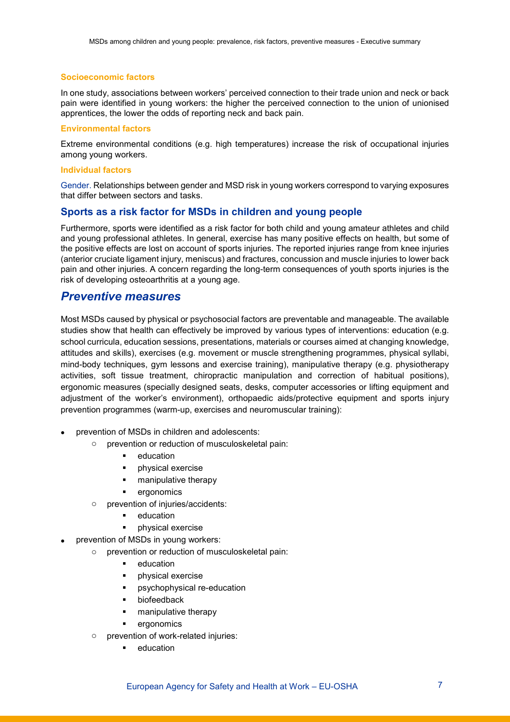#### **Socioeconomic factors**

In one study, associations between workers' perceived connection to their trade union and neck or back pain were identified in young workers: the higher the perceived connection to the union of unionised apprentices, the lower the odds of reporting neck and back pain.

#### **Environmental factors**

Extreme environmental conditions (e.g. high temperatures) increase the risk of occupational injuries among young workers.

#### **Individual factors**

Gender. Relationships between gender and MSD risk in young workers correspond to varying exposures that differ between sectors and tasks.

#### **Sports as a risk factor for MSDs in children and young people**

Furthermore, sports were identified as a risk factor for both child and young amateur athletes and child and young professional athletes. In general, exercise has many positive effects on health, but some of the positive effects are lost on account of sports injuries. The reported injuries range from knee injuries (anterior cruciate ligament injury, meniscus) and fractures, concussion and muscle injuries to lower back pain and other injuries. A concern regarding the long-term consequences of youth sports injuries is the risk of developing osteoarthritis at a young age.

## *Preventive measures*

Most MSDs caused by physical or psychosocial factors are preventable and manageable. The available studies show that health can effectively be improved by various types of interventions: education (e.g. school curricula, education sessions, presentations, materials or courses aimed at changing knowledge, attitudes and skills), exercises (e.g. movement or muscle strengthening programmes, physical syllabi, mind-body techniques, gym lessons and exercise training), manipulative therapy (e.g. physiotherapy activities, soft tissue treatment, chiropractic manipulation and correction of habitual positions), ergonomic measures (specially designed seats, desks, computer accessories or lifting equipment and adjustment of the worker's environment), orthopaedic aids/protective equipment and sports injury prevention programmes (warm-up, exercises and neuromuscular training):

- prevention of MSDs in children and adolescents:
	- o prevention or reduction of musculoskeletal pain:
		- education
		- **•** physical exercise
		- **n** manipulative therapy
		- ergonomics
	- o prevention of injuries/accidents:
		- education
		- physical exercise
	- prevention of MSDs in young workers:
	- o prevention or reduction of musculoskeletal pain:
		- **•** education
		- **•** physical exercise
		- psychophysical re-education
		- **biofeedback**
		- **EXECUTE:** manipulative therapy
		- ergonomics
		- o prevention of work-related injuries:
			- **•** education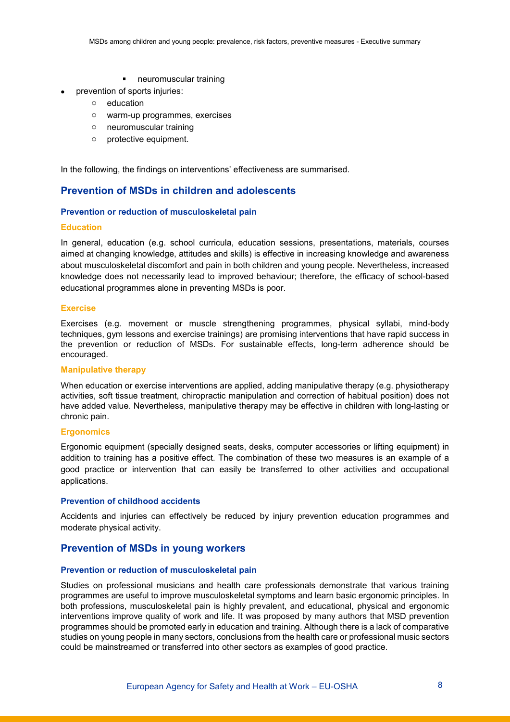- neuromuscular training
- prevention of sports injuries:
	- o education
	- o warm-up programmes, exercises
	- o neuromuscular training
	- o protective equipment.

In the following, the findings on interventions' effectiveness are summarised.

## **Prevention of MSDs in children and adolescents**

#### **Prevention or reduction of musculoskeletal pain**

#### **Education**

In general, education (e.g. school curricula, education sessions, presentations, materials, courses aimed at changing knowledge, attitudes and skills) is effective in increasing knowledge and awareness about musculoskeletal discomfort and pain in both children and young people. Nevertheless, increased knowledge does not necessarily lead to improved behaviour; therefore, the efficacy of school-based educational programmes alone in preventing MSDs is poor.

#### **Exercise**

Exercises (e.g. movement or muscle strengthening programmes, physical syllabi, mind-body techniques, gym lessons and exercise trainings) are promising interventions that have rapid success in the prevention or reduction of MSDs. For sustainable effects, long-term adherence should be encouraged.

#### **Manipulative therapy**

When education or exercise interventions are applied, adding manipulative therapy (e.g. physiotherapy activities, soft tissue treatment, chiropractic manipulation and correction of habitual position) does not have added value. Nevertheless, manipulative therapy may be effective in children with long-lasting or chronic pain.

#### **Ergonomics**

Ergonomic equipment (specially designed seats, desks, computer accessories or lifting equipment) in addition to training has a positive effect. The combination of these two measures is an example of a good practice or intervention that can easily be transferred to other activities and occupational applications.

#### **Prevention of childhood accidents**

Accidents and injuries can effectively be reduced by injury prevention education programmes and moderate physical activity.

## **Prevention of MSDs in young workers**

#### **Prevention or reduction of musculoskeletal pain**

Studies on professional musicians and health care professionals demonstrate that various training programmes are useful to improve musculoskeletal symptoms and learn basic ergonomic principles. In both professions, musculoskeletal pain is highly prevalent, and educational, physical and ergonomic interventions improve quality of work and life. It was proposed by many authors that MSD prevention programmes should be promoted early in education and training. Although there is a lack of comparative studies on young people in many sectors, conclusions from the health care or professional music sectors could be mainstreamed or transferred into other sectors as examples of good practice.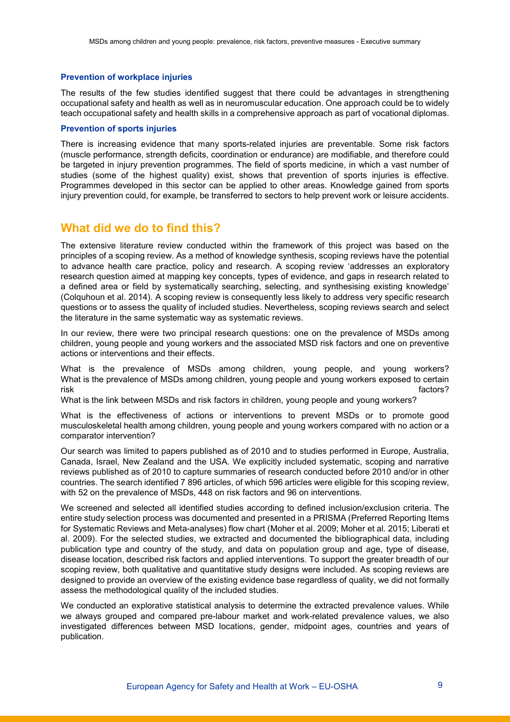#### **Prevention of workplace injuries**

The results of the few studies identified suggest that there could be advantages in strengthening occupational safety and health as well as in neuromuscular education. One approach could be to widely teach occupational safety and health skills in a comprehensive approach as part of vocational diplomas.

#### **Prevention of sports injuries**

There is increasing evidence that many sports-related injuries are preventable. Some risk factors (muscle performance, strength deficits, coordination or endurance) are modifiable, and therefore could be targeted in injury prevention programmes. The field of sports medicine, in which a vast number of studies (some of the highest quality) exist, shows that prevention of sports injuries is effective. Programmes developed in this sector can be applied to other areas. Knowledge gained from sports injury prevention could, for example, be transferred to sectors to help prevent work or leisure accidents.

## **What did we do to find this?**

The extensive literature review conducted within the framework of this project was based on the principles of a scoping review. As a method of knowledge synthesis, scoping reviews have the potential to advance health care practice, policy and research. A scoping review 'addresses an exploratory research question aimed at mapping key concepts, types of evidence, and gaps in research related to a defined area or field by systematically searching, selecting, and synthesising existing knowledge' (Colquhoun et al. 2014). A scoping review is consequently less likely to address very specific research questions or to assess the quality of included studies. Nevertheless, scoping reviews search and select the literature in the same systematic way as systematic reviews.

In our review, there were two principal research questions: one on the prevalence of MSDs among children, young people and young workers and the associated MSD risk factors and one on preventive actions or interventions and their effects.

What is the prevalence of MSDs among children, young people, and young workers? What is the prevalence of MSDs among children, young people and young workers exposed to certain risk factors?

What is the link between MSDs and risk factors in children, young people and young workers?

What is the effectiveness of actions or interventions to prevent MSDs or to promote good musculoskeletal health among children, young people and young workers compared with no action or a comparator intervention?

Our search was limited to papers published as of 2010 and to studies performed in Europe, Australia, Canada, Israel, New Zealand and the USA. We explicitly included systematic, scoping and narrative reviews published as of 2010 to capture summaries of research conducted before 2010 and/or in other countries. The search identified 7 896 articles, of which 596 articles were eligible for this scoping review, with 52 on the prevalence of MSDs, 448 on risk factors and 96 on interventions.

We screened and selected all identified studies according to defined inclusion/exclusion criteria. The entire study selection process was documented and presented in a PRISMA (Preferred Reporting Items for Systematic Reviews and Meta-analyses) flow chart (Moher et al. 2009; Moher et al. 2015; Liberati et al. 2009). For the selected studies, we extracted and documented the bibliographical data, including publication type and country of the study, and data on population group and age, type of disease, disease location, described risk factors and applied interventions. To support the greater breadth of our scoping review, both qualitative and quantitative study designs were included. As scoping reviews are designed to provide an overview of the existing evidence base regardless of quality, we did not formally assess the methodological quality of the included studies.

We conducted an explorative statistical analysis to determine the extracted prevalence values. While we always grouped and compared pre-labour market and work-related prevalence values, we also investigated differences between MSD locations, gender, midpoint ages, countries and years of publication.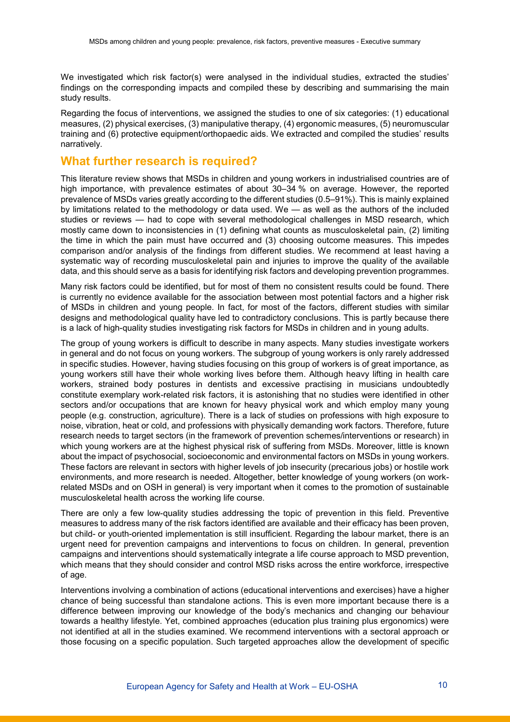We investigated which risk factor(s) were analysed in the individual studies, extracted the studies' findings on the corresponding impacts and compiled these by describing and summarising the main study results.

Regarding the focus of interventions, we assigned the studies to one of six categories: (1) educational measures, (2) physical exercises, (3) manipulative therapy, (4) ergonomic measures, (5) neuromuscular training and (6) protective equipment/orthopaedic aids. We extracted and compiled the studies' results narratively.

## **What further research is required?**

This literature review shows that MSDs in children and young workers in industrialised countries are of high importance, with prevalence estimates of about 30–34 % on average. However, the reported prevalence of MSDs varies greatly according to the different studies (0.5–91%). This is mainly explained by limitations related to the methodology or data used. We — as well as the authors of the included studies or reviews — had to cope with several methodological challenges in MSD research, which mostly came down to inconsistencies in (1) defining what counts as musculoskeletal pain, (2) limiting the time in which the pain must have occurred and (3) choosing outcome measures. This impedes comparison and/or analysis of the findings from different studies. We recommend at least having a systematic way of recording musculoskeletal pain and injuries to improve the quality of the available data, and this should serve as a basis for identifying risk factors and developing prevention programmes.

Many risk factors could be identified, but for most of them no consistent results could be found. There is currently no evidence available for the association between most potential factors and a higher risk of MSDs in children and young people. In fact, for most of the factors, different studies with similar designs and methodological quality have led to contradictory conclusions. This is partly because there is a lack of high-quality studies investigating risk factors for MSDs in children and in young adults.

The group of young workers is difficult to describe in many aspects. Many studies investigate workers in general and do not focus on young workers. The subgroup of young workers is only rarely addressed in specific studies. However, having studies focusing on this group of workers is of great importance, as young workers still have their whole working lives before them. Although heavy lifting in health care workers, strained body postures in dentists and excessive practising in musicians undoubtedly constitute exemplary work-related risk factors, it is astonishing that no studies were identified in other sectors and/or occupations that are known for heavy physical work and which employ many young people (e.g. construction, agriculture). There is a lack of studies on professions with high exposure to noise, vibration, heat or cold, and professions with physically demanding work factors. Therefore, future research needs to target sectors (in the framework of prevention schemes/interventions or research) in which young workers are at the highest physical risk of suffering from MSDs. Moreover, little is known about the impact of psychosocial, socioeconomic and environmental factors on MSDs in young workers. These factors are relevant in sectors with higher levels of job insecurity (precarious jobs) or hostile work environments, and more research is needed. Altogether, better knowledge of young workers (on workrelated MSDs and on OSH in general) is very important when it comes to the promotion of sustainable musculoskeletal health across the working life course.

There are only a few low-quality studies addressing the topic of prevention in this field. Preventive measures to address many of the risk factors identified are available and their efficacy has been proven, but child- or youth-oriented implementation is still insufficient. Regarding the labour market, there is an urgent need for prevention campaigns and interventions to focus on children. In general, prevention campaigns and interventions should systematically integrate a life course approach to MSD prevention, which means that they should consider and control MSD risks across the entire workforce, irrespective of age.

Interventions involving a combination of actions (educational interventions and exercises) have a higher chance of being successful than standalone actions. This is even more important because there is a difference between improving our knowledge of the body's mechanics and changing our behaviour towards a healthy lifestyle. Yet, combined approaches (education plus training plus ergonomics) were not identified at all in the studies examined. We recommend interventions with a sectoral approach or those focusing on a specific population. Such targeted approaches allow the development of specific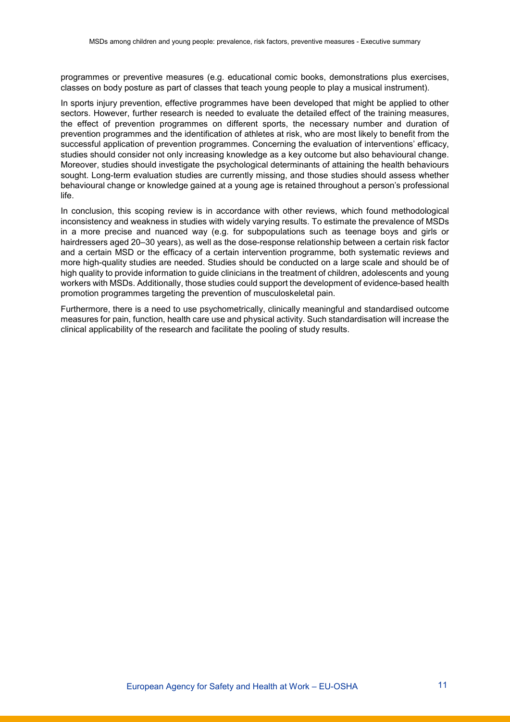programmes or preventive measures (e.g. educational comic books, demonstrations plus exercises, classes on body posture as part of classes that teach young people to play a musical instrument).

In sports injury prevention, effective programmes have been developed that might be applied to other sectors. However, further research is needed to evaluate the detailed effect of the training measures, the effect of prevention programmes on different sports, the necessary number and duration of prevention programmes and the identification of athletes at risk, who are most likely to benefit from the successful application of prevention programmes. Concerning the evaluation of interventions' efficacy, studies should consider not only increasing knowledge as a key outcome but also behavioural change. Moreover, studies should investigate the psychological determinants of attaining the health behaviours sought. Long-term evaluation studies are currently missing, and those studies should assess whether behavioural change or knowledge gained at a young age is retained throughout a person's professional life.

In conclusion, this scoping review is in accordance with other reviews, which found methodological inconsistency and weakness in studies with widely varying results. To estimate the prevalence of MSDs in a more precise and nuanced way (e.g. for subpopulations such as teenage boys and girls or hairdressers aged 20–30 years), as well as the dose-response relationship between a certain risk factor and a certain MSD or the efficacy of a certain intervention programme, both systematic reviews and more high-quality studies are needed. Studies should be conducted on a large scale and should be of high quality to provide information to guide clinicians in the treatment of children, adolescents and young workers with MSDs. Additionally, those studies could support the development of evidence-based health promotion programmes targeting the prevention of musculoskeletal pain.

Furthermore, there is a need to use psychometrically, clinically meaningful and standardised outcome measures for pain, function, health care use and physical activity. Such standardisation will increase the clinical applicability of the research and facilitate the pooling of study results.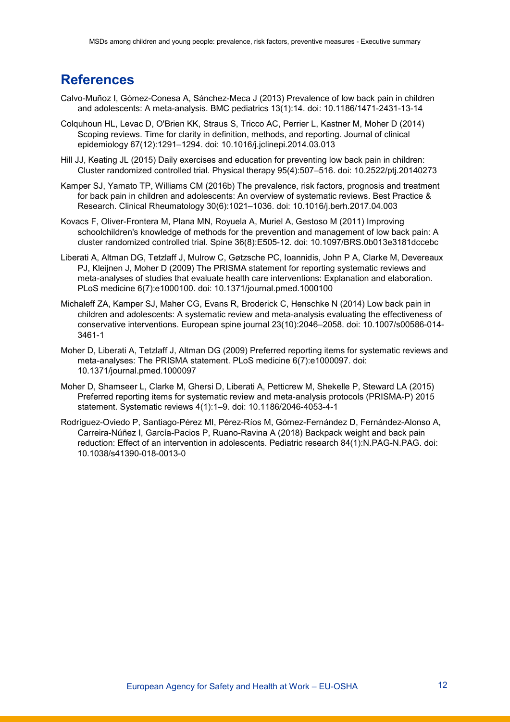## **References**

- Calvo-Muñoz I, Gómez-Conesa A, Sánchez-Meca J (2013) Prevalence of low back pain in children and adolescents: A meta-analysis. BMC pediatrics 13(1):14. doi: 10.1186/1471-2431-13-14
- Colquhoun HL, Levac D, O'Brien KK, Straus S, Tricco AC, Perrier L, Kastner M, Moher D (2014) Scoping reviews. Time for clarity in definition, methods, and reporting. Journal of clinical epidemiology 67(12):1291–1294. doi: 10.1016/j.jclinepi.2014.03.013
- Hill JJ, Keating JL (2015) Daily exercises and education for preventing low back pain in children: Cluster randomized controlled trial. Physical therapy 95(4):507–516. doi: 10.2522/ptj.20140273
- Kamper SJ, Yamato TP, Williams CM (2016b) The prevalence, risk factors, prognosis and treatment for back pain in children and adolescents: An overview of systematic reviews. Best Practice & Research. Clinical Rheumatology 30(6):1021–1036. doi: 10.1016/j.berh.2017.04.003
- Kovacs F, Oliver-Frontera M, Plana MN, Royuela A, Muriel A, Gestoso M (2011) Improving schoolchildren's knowledge of methods for the prevention and management of low back pain: A cluster randomized controlled trial. Spine 36(8):E505-12. doi: 10.1097/BRS.0b013e3181dccebc
- Liberati A, Altman DG, Tetzlaff J, Mulrow C, Gøtzsche PC, Ioannidis, John P A, Clarke M, Devereaux PJ, Kleijnen J, Moher D (2009) The PRISMA statement for reporting systematic reviews and meta-analyses of studies that evaluate health care interventions: Explanation and elaboration. PLoS medicine 6(7):e1000100. doi: 10.1371/journal.pmed.1000100
- Michaleff ZA, Kamper SJ, Maher CG, Evans R, Broderick C, Henschke N (2014) Low back pain in children and adolescents: A systematic review and meta-analysis evaluating the effectiveness of conservative interventions. European spine journal 23(10):2046–2058. doi: 10.1007/s00586-014- 3461-1
- Moher D, Liberati A, Tetzlaff J, Altman DG (2009) Preferred reporting items for systematic reviews and meta-analyses: The PRISMA statement. PLoS medicine 6(7):e1000097. doi: 10.1371/journal.pmed.1000097
- Moher D, Shamseer L, Clarke M, Ghersi D, Liberati A, Petticrew M, Shekelle P, Steward LA (2015) Preferred reporting items for systematic review and meta-analysis protocols (PRISMA-P) 2015 statement. Systematic reviews 4(1):1–9. doi: 10.1186/2046-4053-4-1
- Rodríguez-Oviedo P, Santiago-Pérez MI, Pérez-Ríos M, Gómez-Fernández D, Fernández-Alonso A, Carreira-Núñez I, García-Pacios P, Ruano-Ravina A (2018) Backpack weight and back pain reduction: Effect of an intervention in adolescents. Pediatric research 84(1):N.PAG-N.PAG. doi: 10.1038/s41390-018-0013-0